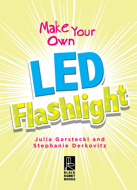## Make Your **Own**

**Julia Garstecki and Stephanie Derkovitz**

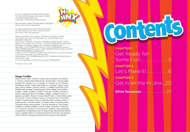Hi Jinx is published by Black Rabbit Books P.O. Box 3263, Mankato, Minnesota, 56002. www.blackrabbitbooks.com Copyright © 2020 Black Rabbit Books

Marysa Storm, editor; Michael Sellner, designer; Omay Ayres, photo researcher

All rights reserved. No part of this book may be reproduced in any form without written permission from the publisher.

Names: Garstecki, Julia, author. | Derkovitz, Stephanie, author. Title: Make your own LED flashlight / by Julia Garstecki and Stephanie Derkovitz. Description: Mankato, Minnesota : Bolt/Black Rabbit Books, [2020] | Series: Hi jinx. Make your own fun | Includes bibliographical references and index. | Audience: Ages 9-12. | Audience: Grades 4 to 6. Identifiers: LCCN 2018033590 (print) | LCCN 2018036490 (ebook) | ISBN 9781680729405 (e-book) | ISBN 9781680729344 (library binding) | ISBN 9781644660652 (paperback) Subjects: LCSH: Flashlights–Design and construction–Juvenile literature. |Light emitting diodes–Juvenile literature. Classification: LCC TK4388 (ebook) | LCC TK4388 .G37 2020 (print) | DDC 621.32–dc23 LC record available at https://lccn.loc.gov/2018033590

Printed in China. 1/19

## Image Credits

Alamy: David J. Green - electrical, 7 (alum. tape); toons4biz, Cover (bolts), 2–3 (bolts), 4 (bolts); Black Rabbit Books: Michael Sellner, 7 (battery, light), 8 (steps), 10–11 (tools), 12–13, 13 (tools), 14, 15 (tool), 16, 18–19 (tool); Shutterstock: Arcady, 7 (sticky note); belka\_35, 7 (scissors); Coprid, 7 (clear tape); Fedorov Oleksiy, 7 (pencil); Galyna G, 15 (bkgd); Georgii Red, Cover (middle bolt); Jumnong, 7 (electrical tape); Memo Angeles, Cover (bulbs), 4 (bulb), 5 (bulb), 6 (bulb), 15 (bulbs), 18 (hand), 19 (bulb), 20 (bulb), 21 (bulb); mohinimurti, Back Cover (bkgd), 4 (bkgd), 12 (bkgd); Mumut, 19 (glasses); opicobello, 10 (tear), 14 (tear); Pand P Studio, 1; Pasko Maksim, Back Cover (tear), 13 (tear), 18 (tear), 23 (tear), 24; Patoman Color, Cover (tube), 4 (tube), 23 (tube); pitju, 6 (curl), 21 (curl); Ron Dale, 5 (marker stroke), 6 (marker stroke), 14 (marker stroke), 17 (marker stroke), 18 (marker stroke), 20 (marker stroke); supawat bursuk, 7 (tp roll); tawatchai.m, Cover (limbs), 4 (limbs), 23 (limbs); totallypic, 8 (arrow, circles), 10 (arrows), 11 (arrows), 12–13 (arrows), 18 (arrow), 19 (arrow); Vector Tradition, Cover (expression), 4 (expression), 23 (expression); yavi, 20 (dance) Every effort has been made to contact copyright holders for material reproduced in this book. Any omissions will be rectified in subsequent printings if notice is given to the publisher.



**CHAPTER 1** Get Ready for Some Fun!........ **CHAPTER 2** Let's Make It!......... **CHAPTER 3** Get in on the Hi Jinx. .20

**Other Resources.** . . . . . . . . . . 22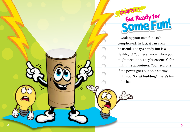

Making your own fun isn't complicated. In fact, it can even be useful. Today's handy fun is a flashlight! You never know when you might need one. They're essential for nighttime adventures. You need one if the power goes out on a stormy night too. So get building! There's fun **Chapte**<br> **Get**<br>
Making y<br>
complicated<br>
be useful. T<br>
flashlight!<br>
might need<br>
night too. S<br>
to be had.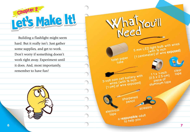

Building a flashlight might seem hard. But it really isn't. Just gather some supplies, and get to work. Don't worry if something doesn't work right away. Experiment until it does. And, most importantly, remember to have fun!